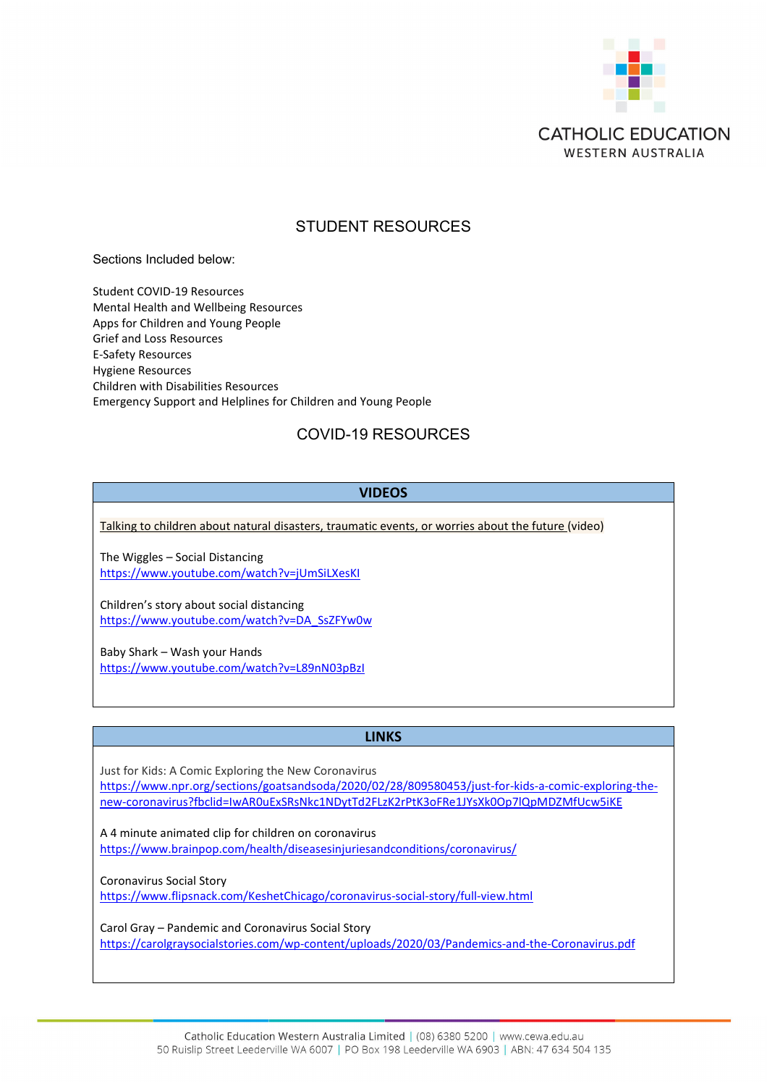

### STUDENT RESOURCES

Sections Included below:

Student COVID-19 Resources Mental Health and Wellbeing Resources Apps for Children and Young People Grief and Loss Resources E-Safety Resources Hygiene Resources Children with Disabilities Resources Emergency Support and Helplines for Children and Young People

## COVID-19 RESOURCES

### **VIDEOS**

[Talking to children about natural disasters, traumatic events, or worries about the future](http://vimeo.com/394049129) (video)

The Wiggles – Social Distancing <https://www.youtube.com/watch?v=jUmSiLXesKI>

Children's story about social distancing [https://www.youtube.com/watch?v=DA\\_SsZFYw0w](https://www.youtube.com/watch?v=DA_SsZFYw0w)

Baby Shark – Wash your Hands <https://www.youtube.com/watch?v=L89nN03pBzI>

### **LINKS**

Just for Kids: A Comic Exploring the New Coronavirus [https://www.npr.org/sections/goatsandsoda/2020/02/28/809580453/just-for-kids-a-comic-exploring-the](https://www.npr.org/sections/goatsandsoda/2020/02/28/809580453/just-for-kids-a-comic-exploring-the-new-coronavirus?fbclid=IwAR0uExSRsNkc1NDytTd2FLzK2rPtK3oFRe1JYsXk0Op7lQpMDZMfUcw5iKE)[new-coronavirus?fbclid=IwAR0uExSRsNkc1NDytTd2FLzK2rPtK3oFRe1JYsXk0Op7lQpMDZMfUcw5iKE](https://www.npr.org/sections/goatsandsoda/2020/02/28/809580453/just-for-kids-a-comic-exploring-the-new-coronavirus?fbclid=IwAR0uExSRsNkc1NDytTd2FLzK2rPtK3oFRe1JYsXk0Op7lQpMDZMfUcw5iKE)

A 4 minute animated clip for children on coronavirus <https://www.brainpop.com/health/diseasesinjuriesandconditions/coronavirus/>

Coronavirus Social Story

<https://www.flipsnack.com/KeshetChicago/coronavirus-social-story/full-view.html>

Carol Gray – Pandemic and Coronavirus Social Story <https://carolgraysocialstories.com/wp-content/uploads/2020/03/Pandemics-and-the-Coronavirus.pdf>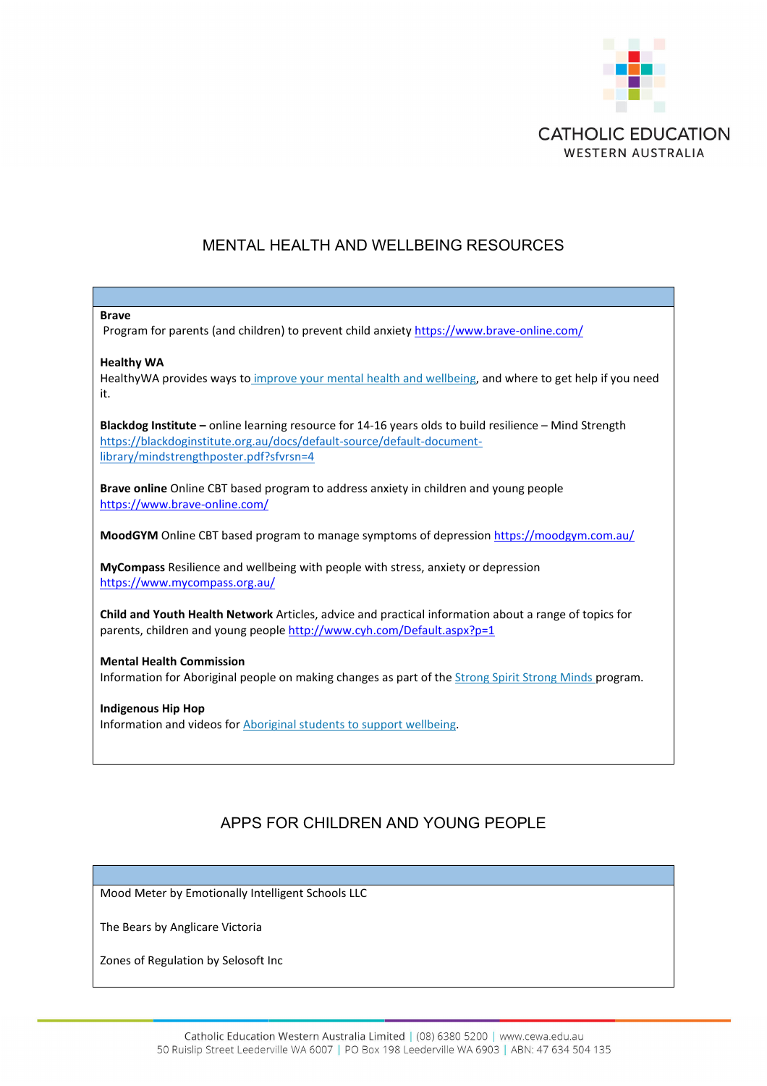

## MENTAL HEALTH AND WELLBEING RESOURCES

| <b>Brave</b><br>Program for parents (and children) to prevent child anxiety https://www.brave-online.com/                                                                                                                   |
|-----------------------------------------------------------------------------------------------------------------------------------------------------------------------------------------------------------------------------|
| <b>Healthy WA</b><br>HealthyWA provides ways to improve your mental health and wellbeing, and where to get help if you need<br>it.                                                                                          |
| Blackdog Institute - online learning resource for 14-16 years olds to build resilience - Mind Strength<br>https://blackdoginstitute.org.au/docs/default-source/default-document-<br>library/mindstrengthposter.pdf?sfvrsn=4 |
| Brave online Online CBT based program to address anxiety in children and young people<br>https://www.brave-online.com/                                                                                                      |
| <b>MoodGYM</b> Online CBT based program to manage symptoms of depression https://moodgym.com.au/                                                                                                                            |
| MyCompass Resilience and wellbeing with people with stress, anxiety or depression<br>https://www.mycompass.org.au/                                                                                                          |
| Child and Youth Health Network Articles, advice and practical information about a range of topics for<br>parents, children and young people http://www.cyh.com/Default.aspx?p=1                                             |
| <b>Mental Health Commission</b><br>Information for Aboriginal people on making changes as part of the Strong Spirit Strong Minds program.                                                                                   |
| <b>Indigenous Hip Hop</b><br>Information and videos for Aboriginal students to support wellbeing.                                                                                                                           |

# APPS FOR CHILDREN AND YOUNG PEOPLE

Mood Meter by Emotionally Intelligent Schools LLC

The Bears by Anglicare Victoria

Zones of Regulation by Selosoft Inc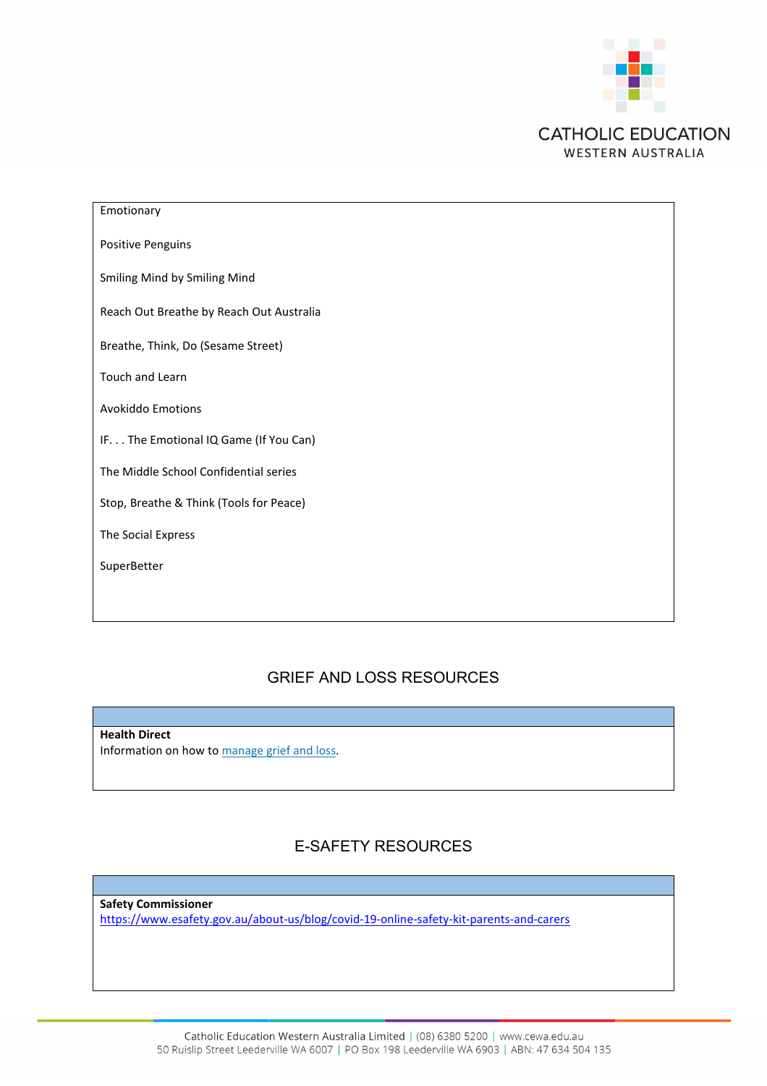

| Emotionary                               |
|------------------------------------------|
| <b>Positive Penguins</b>                 |
| Smiling Mind by Smiling Mind             |
| Reach Out Breathe by Reach Out Australia |
| Breathe, Think, Do (Sesame Street)       |
| Touch and Learn                          |
| <b>Avokiddo Emotions</b>                 |
| IF. The Emotional IQ Game (If You Can)   |
| The Middle School Confidential series    |
| Stop, Breathe & Think (Tools for Peace)  |
| The Social Express                       |
| SuperBetter                              |
|                                          |

## GRIEF AND LOSS RESOURCES

**Health Direct** Information on how to [manage grief and loss.](https://www.healthdirect.gov.au/grief-loss)

# E-SAFETY RESOURCES

**Safety Commissioner** <https://www.esafety.gov.au/about-us/blog/covid-19-online-safety-kit-parents-and-carers>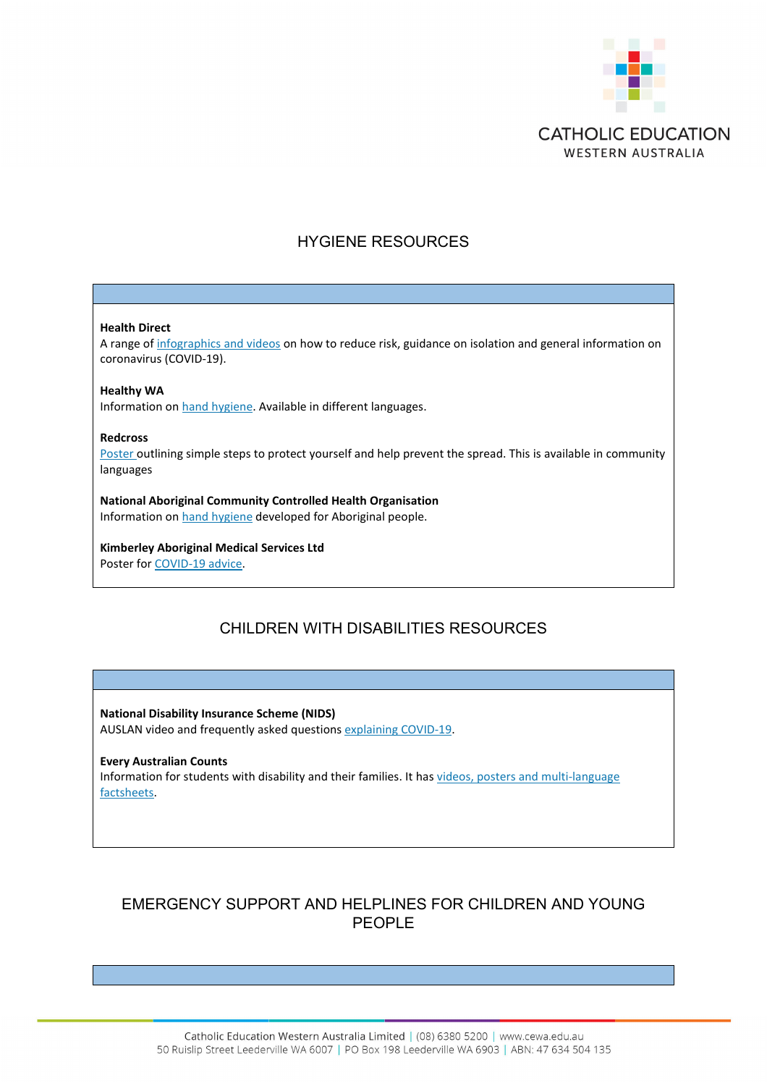

## HYGIENE RESOURCES

#### **Health Direct**

A range of [infographics and videos](http://www.healthdirect.gov.au/coronavirus-covid-19-in-pictures) on how to reduce risk, guidance on isolation and general information on coronavirus (COVID-19).

#### **Healthy WA**

Information on [hand hygiene.](http://healthywa.wa.gov.au/Articles/F_I/Facts-about-hand-hygiene) Available in different languages.

#### **Redcross**

[Poster](https://www.redcross.org.au/coronavirus) outlining simple steps to protect yourself and help prevent the spread. This is available in community languages

### **National Aboriginal Community Controlled Health Organisation** Information on [hand hygiene](http://nacchocommunique.com/category/corona-virus/) developed for Aboriginal people.

# **Kimberley Aboriginal Medical Services Ltd**

Poster for [COVID-19 advice.](http://kams.org.au/wp-content/uploads/2020/03/KAMs_Covid19_a3_download.pdf)

# CHILDREN WITH DISABILITIES RESOURCES

**National Disability Insurance Scheme (NIDS)** AUSLAN video and frequently asked questions [explaining COVID-19.](https://www.ndis.gov.au/understanding/ndis-and-other-government-services/ndis-and-disaster-response)

### **Every Australian Counts** Information for students with disability and their families. It has [videos, posters and multi-language](https://everyaustraliancounts.com.au/emergency-information-for-ndis-participants-and-families-about-the-coronavirus)  [factsheets.](https://everyaustraliancounts.com.au/emergency-information-for-ndis-participants-and-families-about-the-coronavirus)

# EMERGENCY SUPPORT AND HELPLINES FOR CHILDREN AND YOUNG PEOPLE